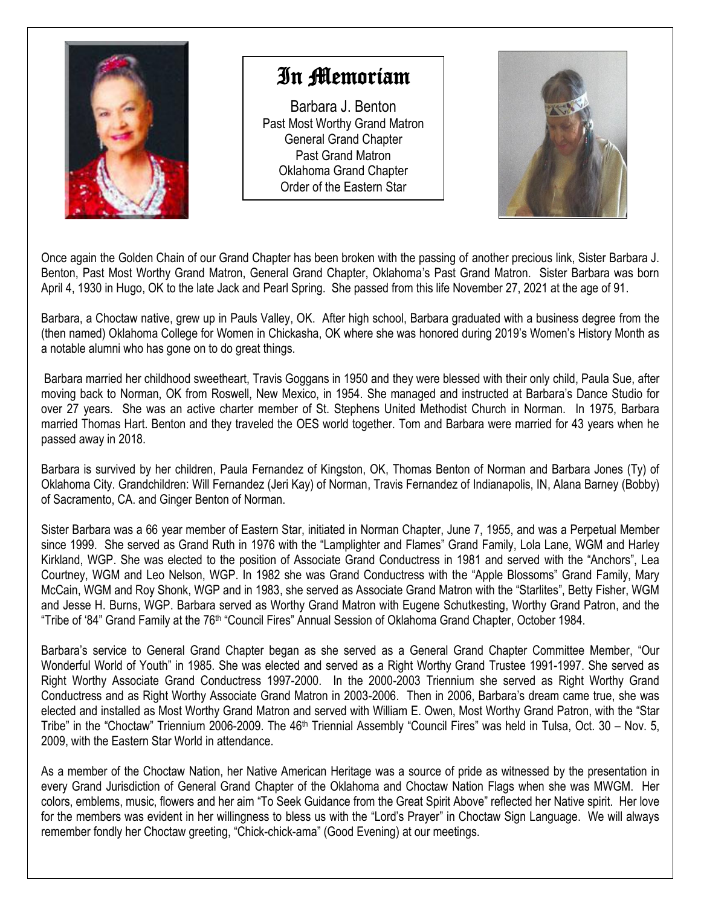

## In Memoriam

Barbara J. Benton Past Most Worthy Grand Matron General Grand Chapter Past Grand Matron Oklahoma Grand Chapter Order of the Eastern Star



Once again the Golden Chain of our Grand Chapter has been broken with the passing of another precious link, Sister Barbara J. Benton, Past Most Worthy Grand Matron, General Grand Chapter, Oklahoma's Past Grand Matron. Sister Barbara was born April 4, 1930 in Hugo, OK to the late Jack and Pearl Spring. She passed from this life November 27, 2021 at the age of 91.

Barbara, a Choctaw native, grew up in Pauls Valley, OK. After high school, Barbara graduated with a business degree from the (then named) Oklahoma College for Women in Chickasha, OK where she was honored during 2019's Women's History Month as a notable alumni who has gone on to do great things.

Barbara married her childhood sweetheart, Travis Goggans in 1950 and they were blessed with their only child, Paula Sue, after moving back to Norman, OK from Roswell, New Mexico, in 1954. She managed and instructed at Barbara's Dance Studio for over 27 years. She was an active charter member of St. Stephens United Methodist Church in Norman. In 1975, Barbara married Thomas Hart. Benton and they traveled the OES world together. Tom and Barbara were married for 43 years when he passed away in 2018.

Barbara is survived by her children, Paula Fernandez of Kingston, OK, Thomas Benton of Norman and Barbara Jones (Ty) of Oklahoma City. Grandchildren: Will Fernandez (Jeri Kay) of Norman, Travis Fernandez of Indianapolis, IN, Alana Barney (Bobby) of Sacramento, CA. and Ginger Benton of Norman.

Sister Barbara was a 66 year member of Eastern Star, initiated in Norman Chapter, June 7, 1955, and was a Perpetual Member since 1999. She served as Grand Ruth in 1976 with the "Lamplighter and Flames" Grand Family, Lola Lane, WGM and Harley Kirkland, WGP. She was elected to the position of Associate Grand Conductress in 1981 and served with the "Anchors", Lea Courtney, WGM and Leo Nelson, WGP. In 1982 she was Grand Conductress with the "Apple Blossoms" Grand Family, Mary McCain, WGM and Roy Shonk, WGP and in 1983, she served as Associate Grand Matron with the "Starlites", Betty Fisher, WGM and Jesse H. Burns, WGP. Barbara served as Worthy Grand Matron with Eugene Schutkesting, Worthy Grand Patron, and the "Tribe of '84" Grand Family at the 76<sup>th</sup> "Council Fires" Annual Session of Oklahoma Grand Chapter, October 1984.

Barbara's service to General Grand Chapter began as she served as a General Grand Chapter Committee Member, "Our Wonderful World of Youth" in 1985. She was elected and served as a Right Worthy Grand Trustee 1991-1997. She served as Right Worthy Associate Grand Conductress 1997-2000. In the 2000-2003 Triennium she served as Right Worthy Grand Conductress and as Right Worthy Associate Grand Matron in 2003-2006. Then in 2006, Barbara's dream came true, she was elected and installed as Most Worthy Grand Matron and served with William E. Owen, Most Worthy Grand Patron, with the "Star Tribe" in the "Choctaw" Triennium 2006-2009. The 46<sup>th</sup> Triennial Assembly "Council Fires" was held in Tulsa, Oct. 30 – Nov. 5, 2009, with the Eastern Star World in attendance.

As a member of the Choctaw Nation, her Native American Heritage was a source of pride as witnessed by the presentation in every Grand Jurisdiction of General Grand Chapter of the Oklahoma and Choctaw Nation Flags when she was MWGM. Her colors, emblems, music, flowers and her aim "To Seek Guidance from the Great Spirit Above" reflected her Native spirit. Her love for the members was evident in her willingness to bless us with the "Lord's Prayer" in Choctaw Sign Language. We will always remember fondly her Choctaw greeting, "Chick-chick-ama" (Good Evening) at our meetings.